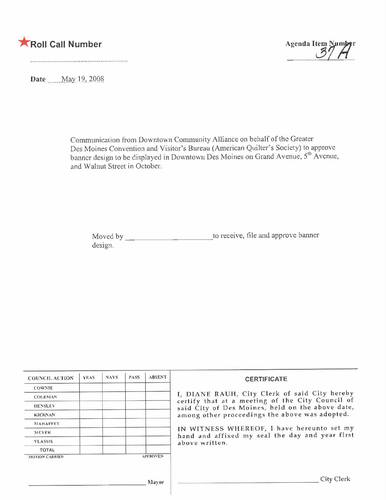



Date May 19, 2008

Communication from Downtown Community Alliance on behalf of the Greater Des Moines Convention and Visitor's Bureau (American Quilter's Society) to approve<br>banner design to be displayed in Downtown Des Moines on Grand Avenue, 5<sup>th</sup> Avenue, and Walnut Street in October.

Moved by \_\_\_\_\_\_\_\_\_\_\_\_\_\_\_\_\_\_\_\_\_\_\_\_\_\_\_\_\_\_\_to receive, file and approve banner design.

| <b>COUNCIL ACTION</b> | <b>YEAS</b> | <b>NAYS</b> | <b>PASS</b> | <b>ABSENT</b>   | <b>CERTIFICATE</b>                                                                                                                                    |  |  |
|-----------------------|-------------|-------------|-------------|-----------------|-------------------------------------------------------------------------------------------------------------------------------------------------------|--|--|
| <b>COWNIE</b>         |             |             |             |                 |                                                                                                                                                       |  |  |
| <b>COLEMAN</b>        |             |             |             |                 | I. DIANE RAUH, City Clerk of said City hereby<br>certify that at a meeting of the City Council of<br>said City of Des Moines, held on the above date, |  |  |
| <b>HENSLEY</b>        |             |             |             |                 |                                                                                                                                                       |  |  |
| <b>KIERNAN</b>        |             |             |             |                 | among other proceedings the above was adopted.                                                                                                        |  |  |
| <b>NIAHAFFEY</b>      |             |             |             |                 |                                                                                                                                                       |  |  |
| <b>MEYER</b>          |             |             |             |                 | IN WITNESS WHEREOF, I have hereunto set my<br>hand and affixed my seal the day and year first                                                         |  |  |
| <b>VLASSIS</b>        |             |             |             |                 | above written.                                                                                                                                        |  |  |
| <b>TOTAL</b>          |             |             |             |                 |                                                                                                                                                       |  |  |
| <b>MOTION CARRED</b>  |             |             |             | <b>APPROVED</b> |                                                                                                                                                       |  |  |
|                       |             |             |             | Mayor           | City Clerk                                                                                                                                            |  |  |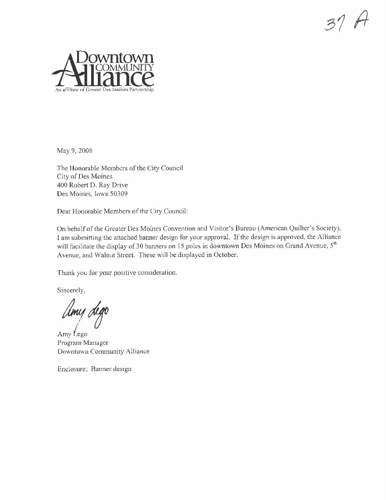



May 9, 2008

The Honorable Members of the City Council City of Des Moines 400 Robert D. Ray Drive Des Moines, Iowa 50309

Dear Honorable Members of the City Council:

On behalf of the Greater Des Moines Convention and Visitor's Bureau (American Quilter's Society), I am submitting the attached banner design for your approval. If the design is approved, the Alliance will facilitate the display of 30 banners on 15 poles in downtown Des Moines on Grand Avenue, 5th Avenue, and Walnut Street. These will be displayed in October.

Thank you for your positive consideration.

Sincerely,

Umy dego

Amy Lego Program Manager Downtown Community Alliance

Enclosure: Banner design